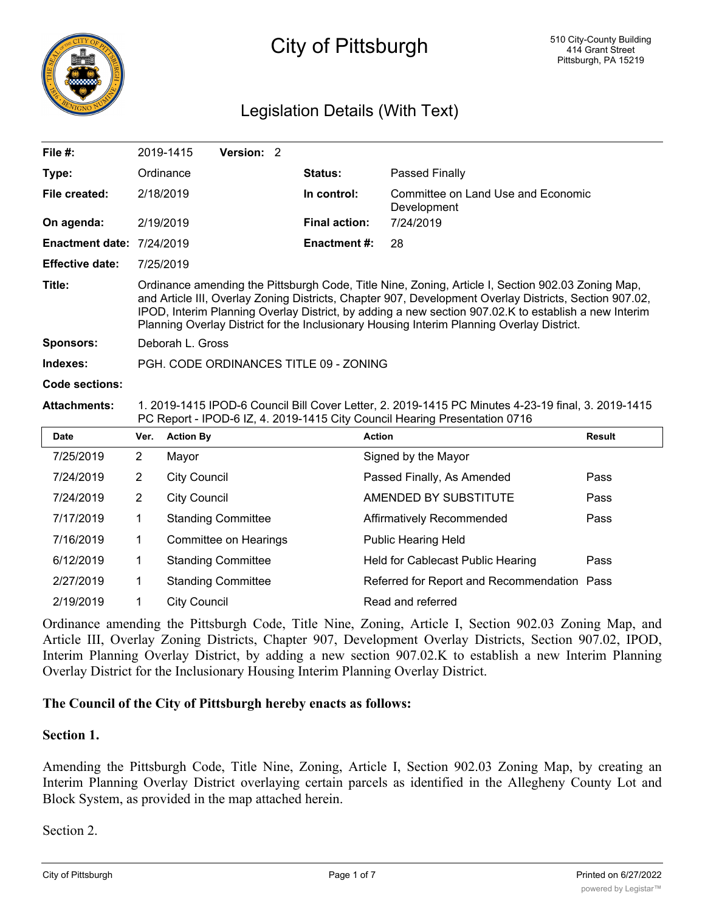

# City of Pittsburgh

# Legislation Details (With Text)

| File #:                          |                                                                                                                                                                                                                                                                                                                                                                                                                  | 2019-1415<br>Version: 2   |                      |                                                   |               |
|----------------------------------|------------------------------------------------------------------------------------------------------------------------------------------------------------------------------------------------------------------------------------------------------------------------------------------------------------------------------------------------------------------------------------------------------------------|---------------------------|----------------------|---------------------------------------------------|---------------|
| Type:                            |                                                                                                                                                                                                                                                                                                                                                                                                                  | Ordinance                 | <b>Status:</b>       | Passed Finally                                    |               |
| File created:                    | 2/18/2019                                                                                                                                                                                                                                                                                                                                                                                                        |                           | In control:          | Committee on Land Use and Economic<br>Development |               |
| On agenda:                       | 2/19/2019                                                                                                                                                                                                                                                                                                                                                                                                        |                           | <b>Final action:</b> | 7/24/2019                                         |               |
| <b>Enactment date: 7/24/2019</b> |                                                                                                                                                                                                                                                                                                                                                                                                                  |                           | <b>Enactment #:</b>  | 28                                                |               |
| <b>Effective date:</b>           | 7/25/2019                                                                                                                                                                                                                                                                                                                                                                                                        |                           |                      |                                                   |               |
| Title:                           | Ordinance amending the Pittsburgh Code, Title Nine, Zoning, Article I, Section 902.03 Zoning Map,<br>and Article III, Overlay Zoning Districts, Chapter 907, Development Overlay Districts, Section 907.02,<br>IPOD, Interim Planning Overlay District, by adding a new section 907.02.K to establish a new Interim<br>Planning Overlay District for the Inclusionary Housing Interim Planning Overlay District. |                           |                      |                                                   |               |
| <b>Sponsors:</b>                 | Deborah L. Gross                                                                                                                                                                                                                                                                                                                                                                                                 |                           |                      |                                                   |               |
| Indexes:                         | PGH. CODE ORDINANCES TITLE 09 - ZONING                                                                                                                                                                                                                                                                                                                                                                           |                           |                      |                                                   |               |
| <b>Code sections:</b>            |                                                                                                                                                                                                                                                                                                                                                                                                                  |                           |                      |                                                   |               |
| <b>Attachments:</b>              | 1. 2019-1415 IPOD-6 Council Bill Cover Letter, 2. 2019-1415 PC Minutes 4-23-19 final, 3. 2019-1415<br>PC Report - IPOD-6 IZ, 4. 2019-1415 City Council Hearing Presentation 0716                                                                                                                                                                                                                                 |                           |                      |                                                   |               |
| <b>Date</b>                      | Ver.                                                                                                                                                                                                                                                                                                                                                                                                             | <b>Action By</b>          | <b>Action</b>        |                                                   | <b>Result</b> |
| 7/25/2019                        | $\overline{2}$                                                                                                                                                                                                                                                                                                                                                                                                   | Mayor                     |                      | Signed by the Mayor                               |               |
| 7/24/2019                        | $\overline{2}$                                                                                                                                                                                                                                                                                                                                                                                                   | <b>City Council</b>       |                      | Passed Finally, As Amended                        | Pass          |
| 7/24/2019                        | $\overline{c}$                                                                                                                                                                                                                                                                                                                                                                                                   | <b>City Council</b>       |                      | AMENDED BY SUBSTITUTE                             | Pass          |
| 7/17/2019                        | 1                                                                                                                                                                                                                                                                                                                                                                                                                | <b>Standing Committee</b> |                      | Affirmatively Recommended                         | Pass          |
| 7/16/2019                        | 1                                                                                                                                                                                                                                                                                                                                                                                                                | Committee on Hearings     |                      | <b>Public Hearing Held</b>                        |               |
| 6/12/2019                        | 1                                                                                                                                                                                                                                                                                                                                                                                                                | <b>Standing Committee</b> |                      | Held for Cablecast Public Hearing                 | Pass          |
| 2/27/2019                        | 1                                                                                                                                                                                                                                                                                                                                                                                                                | <b>Standing Committee</b> |                      | Referred for Report and Recommendation Pass       |               |
| 2/19/2019                        | 1                                                                                                                                                                                                                                                                                                                                                                                                                | <b>City Council</b>       |                      | Read and referred                                 |               |

Ordinance amending the Pittsburgh Code, Title Nine, Zoning, Article I, Section 902.03 Zoning Map, and Article III, Overlay Zoning Districts, Chapter 907, Development Overlay Districts, Section 907.02, IPOD, Interim Planning Overlay District, by adding a new section 907.02.K to establish a new Interim Planning Overlay District for the Inclusionary Housing Interim Planning Overlay District.

#### **The Council of the City of Pittsburgh hereby enacts as follows:**

#### **Section 1.**

Amending the Pittsburgh Code, Title Nine, Zoning, Article I, Section 902.03 Zoning Map, by creating an Interim Planning Overlay District overlaying certain parcels as identified in the Allegheny County Lot and Block System, as provided in the map attached herein.

Section 2.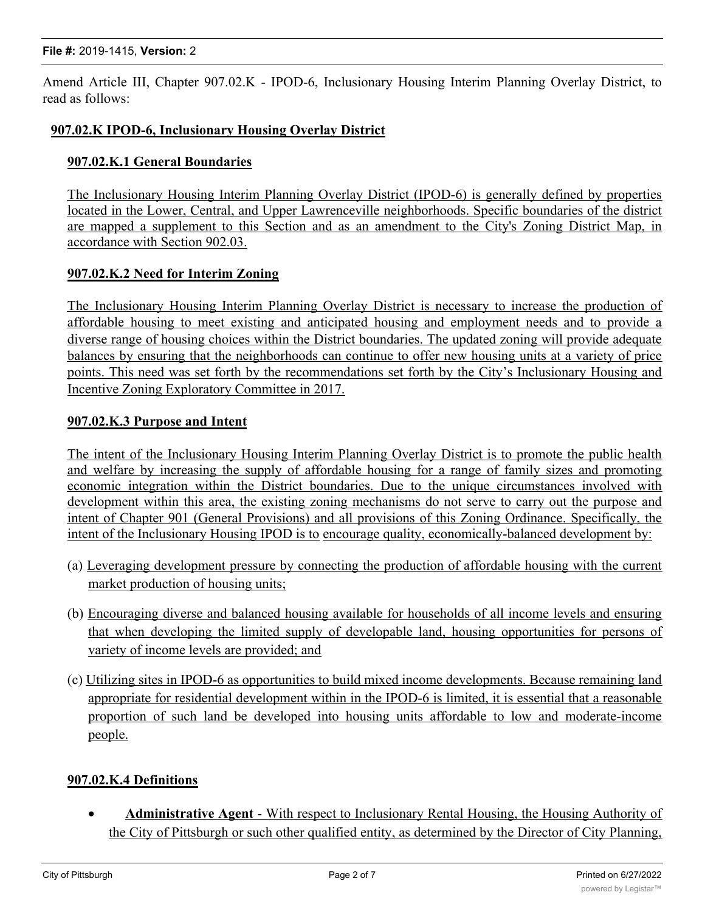Amend Article III, Chapter 907.02.K - IPOD-6, Inclusionary Housing Interim Planning Overlay District, to read as follows:

### **907.02.K IPOD-6, Inclusionary Housing Overlay District**

#### **907.02.K.1 General Boundaries**

The Inclusionary Housing Interim Planning Overlay District (IPOD-6) is generally defined by properties located in the Lower, Central, and Upper Lawrenceville neighborhoods. Specific boundaries of the district are mapped a supplement to this Section and as an amendment to the City's Zoning District Map, in accordance with Section 902.03.

#### **907.02.K.2 Need for Interim Zoning**

The Inclusionary Housing Interim Planning Overlay District is necessary to increase the production of affordable housing to meet existing and anticipated housing and employment needs and to provide a diverse range of housing choices within the District boundaries. The updated zoning will provide adequate balances by ensuring that the neighborhoods can continue to offer new housing units at a variety of price points. This need was set forth by the recommendations set forth by the City's Inclusionary Housing and Incentive Zoning Exploratory Committee in 2017.

#### **907.02.K.3 Purpose and Intent**

The intent of the Inclusionary Housing Interim Planning Overlay District is to promote the public health and welfare by increasing the supply of affordable housing for a range of family sizes and promoting economic integration within the District boundaries. Due to the unique circumstances involved with development within this area, the existing zoning mechanisms do not serve to carry out the purpose and intent of Chapter 901 (General Provisions) and all provisions of this Zoning Ordinance. Specifically, the intent of the Inclusionary Housing IPOD is to encourage quality, economically-balanced development by:

- (a) Leveraging development pressure by connecting the production of affordable housing with the current market production of housing units;
- (b) Encouraging diverse and balanced housing available for households of all income levels and ensuring that when developing the limited supply of developable land, housing opportunities for persons of variety of income levels are provided; and
- (c) Utilizing sites in IPOD-6 as opportunities to build mixed income developments. Because remaining land appropriate for residential development within in the IPOD-6 is limited, it is essential that a reasonable proportion of such land be developed into housing units affordable to low and moderate-income people.

#### **907.02.K.4 Definitions**

· **Administrative Agent** - With respect to Inclusionary Rental Housing, the Housing Authority of the City of Pittsburgh or such other qualified entity, as determined by the Director of City Planning,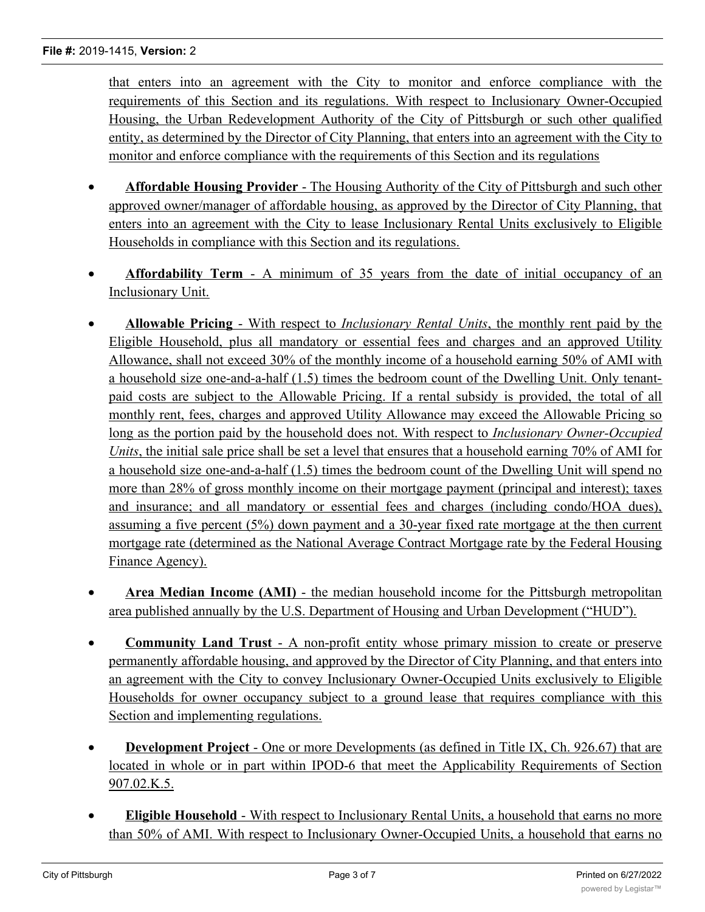that enters into an agreement with the City to monitor and enforce compliance with the requirements of this Section and its regulations. With respect to Inclusionary Owner-Occupied Housing, the Urban Redevelopment Authority of the City of Pittsburgh or such other qualified entity, as determined by the Director of City Planning, that enters into an agreement with the City to monitor and enforce compliance with the requirements of this Section and its regulations

- · **Affordable Housing Provider** The Housing Authority of the City of Pittsburgh and such other approved owner/manager of affordable housing, as approved by the Director of City Planning, that enters into an agreement with the City to lease Inclusionary Rental Units exclusively to Eligible Households in compliance with this Section and its regulations.
- · **Affordability Term** A minimum of 35 years from the date of initial occupancy of an Inclusionary Unit.
- · **Allowable Pricing** With respect to *Inclusionary Rental Units*, the monthly rent paid by the Eligible Household, plus all mandatory or essential fees and charges and an approved Utility Allowance, shall not exceed 30% of the monthly income of a household earning 50% of AMI with a household size one-and-a-half (1.5) times the bedroom count of the Dwelling Unit. Only tenantpaid costs are subject to the Allowable Pricing. If a rental subsidy is provided, the total of all monthly rent, fees, charges and approved Utility Allowance may exceed the Allowable Pricing so long as the portion paid by the household does not. With respect to *Inclusionary Owner-Occupied Units*, the initial sale price shall be set a level that ensures that a household earning 70% of AMI for a household size one-and-a-half (1.5) times the bedroom count of the Dwelling Unit will spend no more than 28% of gross monthly income on their mortgage payment (principal and interest); taxes and insurance; and all mandatory or essential fees and charges (including condo/HOA dues), assuming a five percent (5%) down payment and a 30-year fixed rate mortgage at the then current mortgage rate (determined as the National Average Contract Mortgage rate by the Federal Housing Finance Agency).
- · **Area Median Income (AMI)** the median household income for the Pittsburgh metropolitan area published annually by the U.S. Department of Housing and Urban Development ("HUD").
- · **Community Land Trust** A non-profit entity whose primary mission to create or preserve permanently affordable housing, and approved by the Director of City Planning, and that enters into an agreement with the City to convey Inclusionary Owner-Occupied Units exclusively to Eligible Households for owner occupancy subject to a ground lease that requires compliance with this Section and implementing regulations.
- · **Development Project** One or more Developments (as defined in Title IX, Ch. 926.67) that are located in whole or in part within IPOD-6 that meet the Applicability Requirements of Section 907.02.K.5.
- · **Eligible Household** With respect to Inclusionary Rental Units, a household that earns no more than 50% of AMI. With respect to Inclusionary Owner-Occupied Units, a household that earns no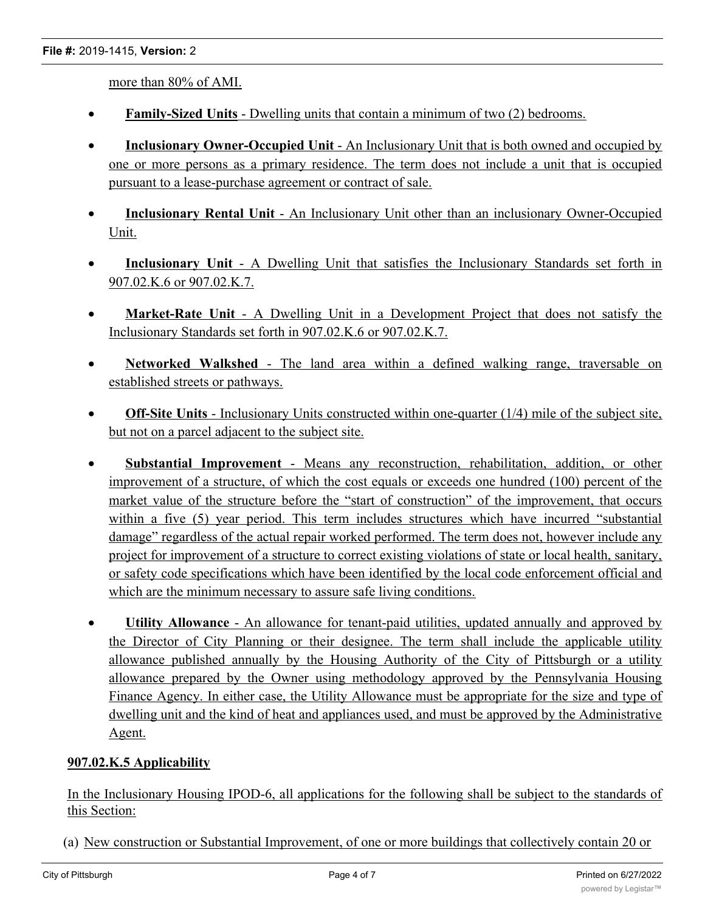more than 80% of AMI.

- · **Family-Sized Units** Dwelling units that contain a minimum of two (2) bedrooms.
- · **Inclusionary Owner-Occupied Unit** An Inclusionary Unit that is both owned and occupied by one or more persons as a primary residence. The term does not include a unit that is occupied pursuant to a lease-purchase agreement or contract of sale.
- · **Inclusionary Rental Unit** An Inclusionary Unit other than an inclusionary Owner-Occupied Unit.
- · **Inclusionary Unit** A Dwelling Unit that satisfies the Inclusionary Standards set forth in 907.02.K.6 or 907.02.K.7.
- · **Market-Rate Unit** A Dwelling Unit in a Development Project that does not satisfy the Inclusionary Standards set forth in 907.02.K.6 or 907.02.K.7.
- · **Networked Walkshed** The land area within a defined walking range, traversable on established streets or pathways.
- · **Off-Site Units** Inclusionary Units constructed within one-quarter (1/4) mile of the subject site, but not on a parcel adjacent to the subject site.
- · **Substantial Improvement** Means any reconstruction, rehabilitation, addition, or other improvement of a structure, of which the cost equals or exceeds one hundred (100) percent of the market value of the structure before the "start of construction" of the improvement, that occurs within a five (5) year period. This term includes structures which have incurred "substantial" damage" regardless of the actual repair worked performed. The term does not, however include any project for improvement of a structure to correct existing violations of state or local health, sanitary, or safety code specifications which have been identified by the local code enforcement official and which are the minimum necessary to assure safe living conditions.
- · **Utility Allowance** An allowance for tenant-paid utilities, updated annually and approved by the Director of City Planning or their designee. The term shall include the applicable utility allowance published annually by the Housing Authority of the City of Pittsburgh or a utility allowance prepared by the Owner using methodology approved by the Pennsylvania Housing Finance Agency. In either case, the Utility Allowance must be appropriate for the size and type of dwelling unit and the kind of heat and appliances used, and must be approved by the Administrative Agent.

# **907.02.K.5 Applicability**

In the Inclusionary Housing IPOD-6, all applications for the following shall be subject to the standards of this Section:

(a) New construction or Substantial Improvement, of one or more buildings that collectively contain 20 or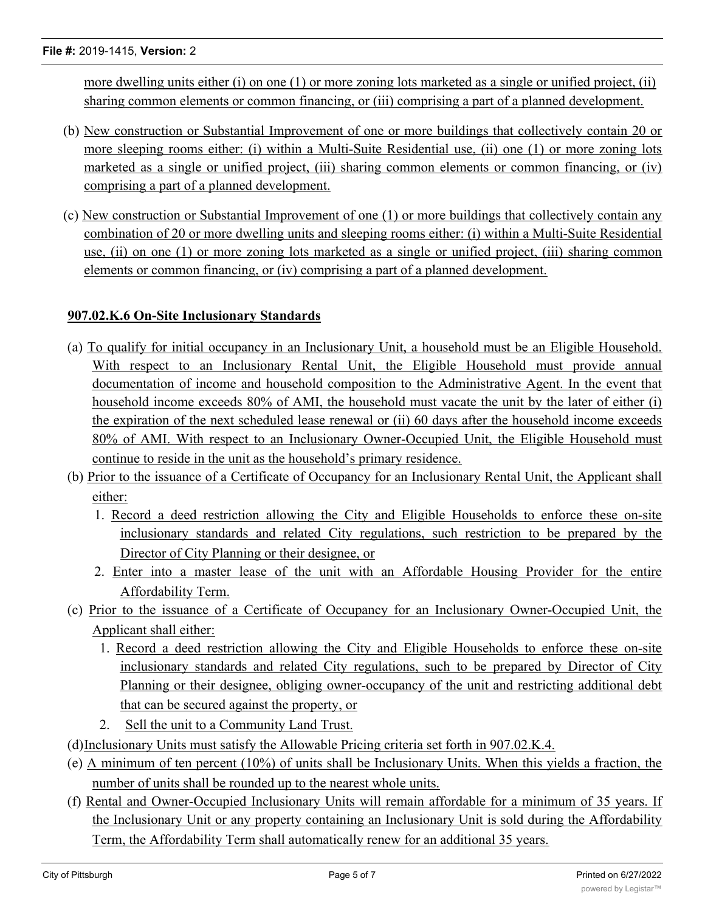more dwelling units either (i) on one (1) or more zoning lots marketed as a single or unified project, (ii) sharing common elements or common financing, or (iii) comprising a part of a planned development.

- (b) New construction or Substantial Improvement of one or more buildings that collectively contain 20 or more sleeping rooms either: (i) within a Multi-Suite Residential use, (ii) one (1) or more zoning lots marketed as a single or unified project, (iii) sharing common elements or common financing, or (iv) comprising a part of a planned development.
- (c) New construction or Substantial Improvement of one (1) or more buildings that collectively contain any combination of 20 or more dwelling units and sleeping rooms either: (i) within a Multi-Suite Residential use, (ii) on one (1) or more zoning lots marketed as a single or unified project, (iii) sharing common elements or common financing, or (iv) comprising a part of a planned development.

# **907.02.K.6 On-Site Inclusionary Standards**

- (a) To qualify for initial occupancy in an Inclusionary Unit, a household must be an Eligible Household. With respect to an Inclusionary Rental Unit, the Eligible Household must provide annual documentation of income and household composition to the Administrative Agent. In the event that household income exceeds 80% of AMI, the household must vacate the unit by the later of either (i) the expiration of the next scheduled lease renewal or (ii) 60 days after the household income exceeds 80% of AMI. With respect to an Inclusionary Owner-Occupied Unit, the Eligible Household must continue to reside in the unit as the household's primary residence.
- (b) Prior to the issuance of a Certificate of Occupancy for an Inclusionary Rental Unit, the Applicant shall either:
	- 1. Record a deed restriction allowing the City and Eligible Households to enforce these on-site inclusionary standards and related City regulations, such restriction to be prepared by the Director of City Planning or their designee, or
	- 2. Enter into a master lease of the unit with an Affordable Housing Provider for the entire Affordability Term.
- (c) Prior to the issuance of a Certificate of Occupancy for an Inclusionary Owner-Occupied Unit, the Applicant shall either:
	- 1. Record a deed restriction allowing the City and Eligible Households to enforce these on-site inclusionary standards and related City regulations, such to be prepared by Director of City Planning or their designee, obliging owner-occupancy of the unit and restricting additional debt that can be secured against the property, or
	- 2. Sell the unit to a Community Land Trust.
- (d)Inclusionary Units must satisfy the Allowable Pricing criteria set forth in 907.02.K.4.
- (e) A minimum of ten percent (10%) of units shall be Inclusionary Units. When this yields a fraction, the number of units shall be rounded up to the nearest whole units.
- (f) Rental and Owner-Occupied Inclusionary Units will remain affordable for a minimum of 35 years. If the Inclusionary Unit or any property containing an Inclusionary Unit is sold during the Affordability Term, the Affordability Term shall automatically renew for an additional 35 years.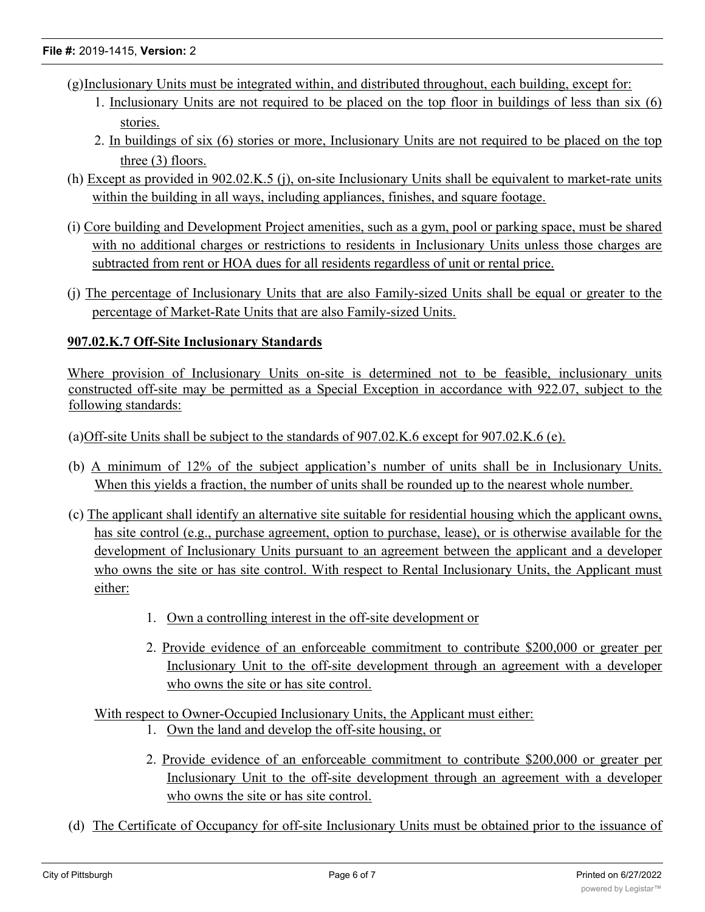- (g)Inclusionary Units must be integrated within, and distributed throughout, each building, except for:
	- 1. Inclusionary Units are not required to be placed on the top floor in buildings of less than six (6) stories.
	- 2. In buildings of six (6) stories or more, Inclusionary Units are not required to be placed on the top three (3) floors.
- (h) Except as provided in 902.02.K.5 (j), on-site Inclusionary Units shall be equivalent to market-rate units within the building in all ways, including appliances, finishes, and square footage.
- (i) Core building and Development Project amenities, such as a gym, pool or parking space, must be shared with no additional charges or restrictions to residents in Inclusionary Units unless those charges are subtracted from rent or HOA dues for all residents regardless of unit or rental price.
- (j) The percentage of Inclusionary Units that are also Family-sized Units shall be equal or greater to the percentage of Market-Rate Units that are also Family-sized Units.

# **907.02.K.7 Off-Site Inclusionary Standards**

Where provision of Inclusionary Units on-site is determined not to be feasible, inclusionary units constructed off-site may be permitted as a Special Exception in accordance with 922.07, subject to the following standards:

(a)Off-site Units shall be subject to the standards of 907.02.K.6 except for 907.02.K.6 (e).

- (b) A minimum of 12% of the subject application's number of units shall be in Inclusionary Units. When this yields a fraction, the number of units shall be rounded up to the nearest whole number.
- (c) The applicant shall identify an alternative site suitable for residential housing which the applicant owns, has site control (e.g., purchase agreement, option to purchase, lease), or is otherwise available for the development of Inclusionary Units pursuant to an agreement between the applicant and a developer who owns the site or has site control. With respect to Rental Inclusionary Units, the Applicant must either:
	- 1. Own a controlling interest in the off-site development or
	- 2. Provide evidence of an enforceable commitment to contribute \$200,000 or greater per Inclusionary Unit to the off-site development through an agreement with a developer who owns the site or has site control.

With respect to Owner-Occupied Inclusionary Units, the Applicant must either:

- 1. Own the land and develop the off-site housing, or
- 2. Provide evidence of an enforceable commitment to contribute \$200,000 or greater per Inclusionary Unit to the off-site development through an agreement with a developer who owns the site or has site control.
- (d) The Certificate of Occupancy for off-site Inclusionary Units must be obtained prior to the issuance of